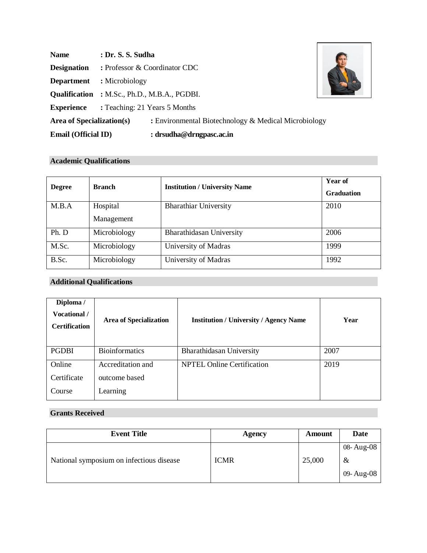| <b>Name</b>                                              | : Dr. S. S. Sudha                               |                                                      |  |
|----------------------------------------------------------|-------------------------------------------------|------------------------------------------------------|--|
| <b>Designation</b>                                       |                                                 | : Professor & Coordinator CDC                        |  |
| <b>Department</b>                                        | : Microbiology                                  |                                                      |  |
|                                                          |                                                 | <b>Qualification</b> : M.Sc., Ph.D., M.B.A., PGDBI.  |  |
|                                                          | <b>Experience</b> : Teaching: 21 Years 5 Months |                                                      |  |
| <b>Area of Specialization(s)</b>                         |                                                 | : Environmental Biotechnology & Medical Microbiology |  |
| <b>Email (Official ID)</b><br>: $drsudha@drngpasc.ac.in$ |                                                 |                                                      |  |

 $\Gamma$ 

## **Academic Qualifications**

| <b>Degree</b> | <b>Branch</b>          | <b>Institution / University Name</b> | <b>Year of</b><br><b>Graduation</b> |
|---------------|------------------------|--------------------------------------|-------------------------------------|
| M.B.A         | Hospital<br>Management | <b>Bharathiar University</b>         | 2010                                |
| Ph. D         | Microbiology           | Bharathidasan University             | 2006                                |
| M.Sc.         | Microbiology           | University of Madras                 | 1999                                |
| B.Sc.         | Microbiology           | University of Madras                 | 1992                                |

# **Additional Qualifications**

| Diploma /<br>Vocational /<br><b>Certification</b> | <b>Area of Specialization</b> | <b>Institution / University / Agency Name</b> | Year |
|---------------------------------------------------|-------------------------------|-----------------------------------------------|------|
| <b>PGDBI</b>                                      | <b>Bioinformatics</b>         | Bharathidasan University                      | 2007 |
| Online                                            | Accreditation and             | <b>NPTEL Online Certification</b>             | 2019 |
| Certificate                                       | outcome based                 |                                               |      |
| Course                                            | Learning                      |                                               |      |

# **Grants Received**

|  | 08- Aug-08      |
|--|-----------------|
|  | &<br>09- Aug-08 |
|  | 25,000          |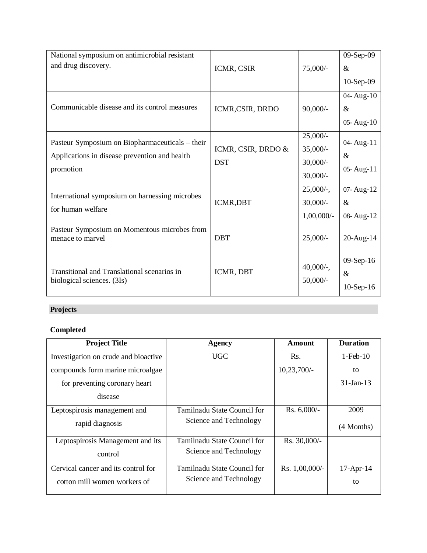| National symposium on antimicrobial resistant                    |                    |               | 09-Sep-09     |
|------------------------------------------------------------------|--------------------|---------------|---------------|
| and drug discovery.                                              | ICMR, CSIR         | 75,000/-      | $\&$          |
|                                                                  |                    |               | $10-Sep-09$   |
|                                                                  |                    |               | 04-Aug-10     |
| Communicable disease and its control measures                    | ICMR,CSIR, DRDO    | $90,000/$ -   | $\&$          |
|                                                                  |                    |               | $05 - Aug-10$ |
| Pasteur Symposium on Biopharmaceuticals – their                  |                    | $25,000/$ -   | 04-Aug-11     |
| Applications in disease prevention and health                    | ICMR, CSIR, DRDO & | $35,000/-$    | $\&$          |
|                                                                  | <b>DST</b>         | $30,000/-$    |               |
| promotion                                                        |                    | $30,000/-$    | 05-Aug-11     |
| International symposium on harnessing microbes                   |                    | $25,000/$ -,  | 07-Aug-12     |
|                                                                  | ICMR,DBT           | $30,000/-$    | $\&$          |
| for human welfare                                                |                    | $1,00,000/$ - | 08-Aug-12     |
| Pasteur Symposium on Momentous microbes from<br>menace to marvel | <b>DBT</b>         | $25,000/-$    | 20-Aug-14     |
|                                                                  |                    |               |               |
|                                                                  |                    |               | $09-Sep-16$   |
| Transitional and Translational scenarios in                      | ICMR, DBT          | $40,000/$ -,  | $\&$          |
| biological sciences. (3Is)                                       |                    | $50,000/-$    | 10-Sep-16     |

# **Projects**

# **Completed**

| <b>Project Title</b>                 | <b>Agency</b>               | Amount         | <b>Duration</b> |
|--------------------------------------|-----------------------------|----------------|-----------------|
| Investigation on crude and bioactive | <b>UGC</b>                  | Rs.            | $1-Feb-10$      |
| compounds form marine microalgae     |                             | $10,23,700/$ - | to              |
| for preventing coronary heart        |                             |                | $31 - Jan - 13$ |
| disease                              |                             |                |                 |
| Leptospirosis management and         | Tamilnadu State Council for | Rs. $6,000/-$  | 2009            |
| rapid diagnosis                      | Science and Technology      |                | (4 Months)      |
| Leptospirosis Management and its     | Tamilnadu State Council for | Rs. 30,000/-   |                 |
| control                              | Science and Technology      |                |                 |
| Cervical cancer and its control for  | Tamilnadu State Council for | Rs. 1,00,000/- | $17$ -Apr-14    |
| cotton mill women workers of         | Science and Technology      |                | to              |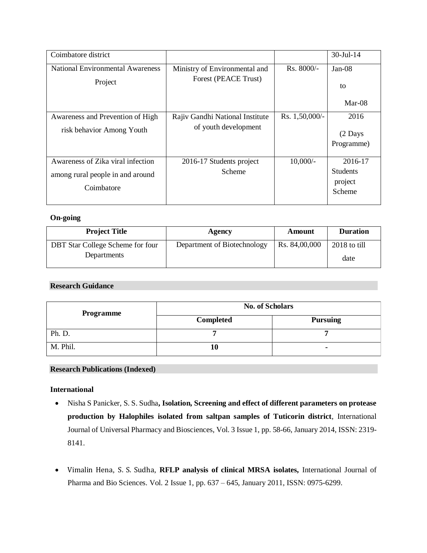| Coimbatore district                     |                                 |                | $30 -$ Jul $-14$   |
|-----------------------------------------|---------------------------------|----------------|--------------------|
| <b>National Environmental Awareness</b> | Ministry of Environmental and   | $Rs. 8000/-$   | $Jan-08$           |
| Project                                 | Forest (PEACE Trust)            |                | to                 |
|                                         |                                 |                | $Mar-08$           |
| Awareness and Prevention of High        | Rajiv Gandhi National Institute | Rs. 1,50,000/- | 2016               |
| risk behavior Among Youth               | of youth development            |                | $(2 \text{ Days})$ |
|                                         |                                 |                | Programme)         |
| Awareness of Zika viral infection       | 2016-17 Students project        | $10,000/-$     | 2016-17            |
| among rural people in and around        | Scheme                          |                | <b>Students</b>    |
| Coimbatore                              |                                 |                | project<br>Scheme  |

#### **On-going**

| <b>Project Title</b>             | Agency                      | Amount        | <b>Duration</b> |
|----------------------------------|-----------------------------|---------------|-----------------|
| DBT Star College Scheme for four | Department of Biotechnology | Rs. 84,00,000 | 2018 to till    |
| Departments                      |                             |               | date            |

## **Research Guidance**

| <b>Programme</b> | <b>No. of Scholars</b> |                 |
|------------------|------------------------|-----------------|
|                  | Completed              | <b>Pursuing</b> |
| Ph. D.           |                        |                 |
| M. Phil.         | 10                     | ٠               |

## **Research Publications (Indexed)**

## **International**

- Nisha S Panicker, S. S. Sudha**, Isolation, Screening and effect of different parameters on protease production by Halophiles isolated from saltpan samples of Tuticorin district**, International Journal of Universal Pharmacy and Biosciences, Vol. 3 Issue 1, pp. 58-66, January 2014, ISSN: 2319- 8141.
- [Vimalin Hena](https://www.researchgate.net/profile/Vimalin_Hena), [S. S. Sudha](https://www.researchgate.net/profile/Vimalin_Hena), **RFLP analysis of clinical MRSA isolates,** International Journal of Pharma and Bio Sciences. Vol. 2 Issue 1, pp. 637 – 645, January 2011, ISSN: 0975-6299.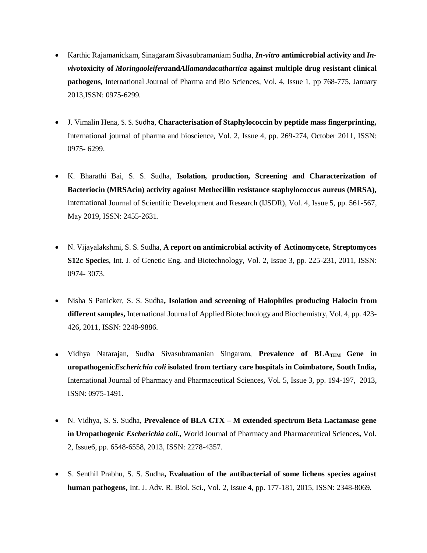- Karthic Rajamanickam, Sinagaram Sivasubramaniam Sudha, *In-vitro* **antimicrobial activity and** *Invivo***toxicity of** *Moringaoleifera***and***Allamandacathartica* **against multiple drug resistant clinical pathogens,** International Journal of Pharma and Bio Sciences, Vol. 4, Issue 1, pp 768-775, January 2013,ISSN: 0975-6299.
- J. Vimalin Hena, [S. S. Sudha](https://www.researchgate.net/scientific-contributions/2089498941_SS_Sudha), **Characterisation of Staphylococcin by peptide mass fingerprinting,** International journal of pharma and bioscience, Vol. 2, Issue 4, pp. 269-274, October 2011, ISSN: 0975- 6299.
- K. Bharathi Bai, S. S. Sudha, **Isolation, production, Screening and Characterization of Bacteriocin (MRSAcin) activity against Methecillin resistance staphylococcus aureus (MRSA),** International Journal of Scientific Development and Research (IJSDR), Vol. 4, Issue 5, pp. 561-567, May 2019, ISSN: 2455-2631.
- N. Vijayalakshmi, S. S. Sudha, **A report on antimicrobial activity of Actinomycete, Streptomyces S12c Specie**s, Int. J. of Genetic Eng. and Biotechnology, Vol. 2, Issue 3, pp. 225-231, 2011, ISSN: 0974- 3073.
- Nisha S Panicker, S. S. Sudha**, Isolation and screening of Halophiles producing Halocin from different samples,** International Journal of Applied Biotechnology and Biochemistry, Vol. 4, pp. 423- 426, 2011, ISSN: 2248-9886.
- Vidhya Natarajan, Sudha Sivasubramanian Singaram, **Prevalence of BLATEM Gene in uropathogenic***Escherichia coli* **isolated from tertiary care hospitals in Coimbatore, South India,** International Journal of Pharmacy and Pharmaceutical Sciences**,** Vol. 5, Issue 3, pp. 194-197, 2013, ISSN: 0975-1491.
- N. Vidhya, S. S. Sudha, **Prevalence of BLA CTX – M extended spectrum Beta Lactamase gene in Uropathogenic** *Escherichia coli.,* World Journal of Pharmacy and Pharmaceutical Sciences**,** Vol. 2, Issue6, pp. 6548-6558, 2013, ISSN: 2278-4357.
- S. Senthil Prabhu, S. S. Sudha**, Evaluation of the antibacterial of some lichens species against human pathogens,** Int. J. Adv. R. Biol. Sci., Vol. 2, Issue 4, pp. 177-181, 2015, ISSN: 2348-8069.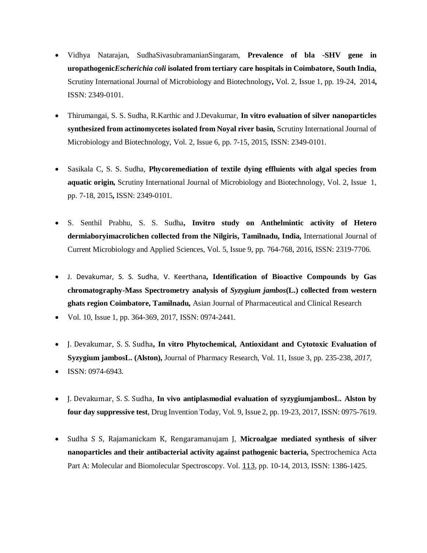- Vidhya Natarajan, SudhaSivasubramanianSingaram, **Prevalence of bla -SHV gene in uropathogenic***Escherichia coli* **isolated from tertiary care hospitals in Coimbatore, South India,** Scrutiny International Journal of Microbiology and Biotechnology**,** Vol. 2, Issue 1, pp. 19-24, 2014**,** ISSN: 2349-0101.
- Thirumangai, S. S. Sudha, R.Karthic and J.Devakumar, **In vitro evaluation of silver nanoparticles synthesized from actinomycetes isolated from Noyal river basin,** Scrutiny International Journal of Microbiology and Biotechnology, Vol. 2, Issue 6, pp. 7-15, 2015, ISSN: 2349-0101.
- Sasikala C, S. S. Sudha, **Phycoremediation of textile dying effluients with algal species from aquatic origin,** Scrutiny International Journal of Microbiology and Biotechnology, Vol. 2, Issue 1, pp. 7-18, 2015**,** ISSN: 2349-0101.
- S. Senthil Prabhu, S. S. Sudha**, Invitro study on Anthelmintic activity of Hetero dermiaboryimacrolichen collected from the Nilgiris, Tamilnadu, India,** International Journal of Current Microbiology and Applied Sciences, Vol. 5, Issue 9, pp. 764-768, 2016, ISSN: 2319-7706.
- J. [Devakumar](https://www.researchgate.net/scientific-contributions/2122059179_J_Devakumar), S. S. [Sudha](https://www.researchgate.net/scientific-contributions/2122052354_SS_Sudha), V. [Keerthana](https://www.researchgate.net/scientific-contributions/2122045180_V_Keerthana)**, Identification of Bioactive Compounds by Gas chromatography-Mass Spectrometry analysis of** *Syzygium jambos***(L.) collected from western ghats region Coimbatore, Tamilnadu,** Asian Journal of Pharmaceutical and Clinical Research
- Vol. 10, Issue 1, pp. 364-369, 2017, ISSN: 0974-2441.
- J. [Devakumar](https://www.researchgate.net/scientific-contributions/2122059179_J_Devakumar), S. S. [Sudha](https://www.researchgate.net/scientific-contributions/2122052354_SS_Sudha)**, In vitro Phytochemical, Antioxidant and Cytotoxic Evaluation of Syzygium jambosL. (Alston),** Journal of Pharmacy Research, Vol. 11, Issue 3, pp. 235-238, *2017,* ISSN: 0974-6943.
- 
- [J. Devakumar](https://www.researchgate.net/scientific-contributions/2122059179_J_Devakumar), [S. S. Sudha](https://www.researchgate.net/scientific-contributions/2122059179_J_Devakumar), **In vivo antiplasmodial evaluation of syzygiumjambosL. Alston by four day suppressive test**, Drug Invention Today, Vol. 9, Issue 2, pp. 19-23, 2017, ISSN: 0975-7619.
- [Sudha](https://www.ncbi.nlm.nih.gov/pubmed/?term=Sudha%20SS%5BAuthor%5D&cauthor=true&cauthor_uid=23821828) S S, [Rajamanickam](https://www.ncbi.nlm.nih.gov/pubmed/?term=Rajamanickam%20K%5BAuthor%5D&cauthor=true&cauthor_uid=23821828) K, [Rengaramanujam](https://www.ncbi.nlm.nih.gov/pubmed/?term=Rajamanickam%20K%5BAuthor%5D&cauthor=true&cauthor_uid=23821828) J, **Microalgae mediated synthesis of silver nanoparticles and their antibacterial activity against pathogenic bacteria,** Spectrochemica Acta Part A: Molecular and Biomolecular Spectroscopy. Vol. [113](http://www.sciencedirect.com/science/journal/13861425/113/supp/C), pp. 10-14, 2013, ISSN: 1386-1425.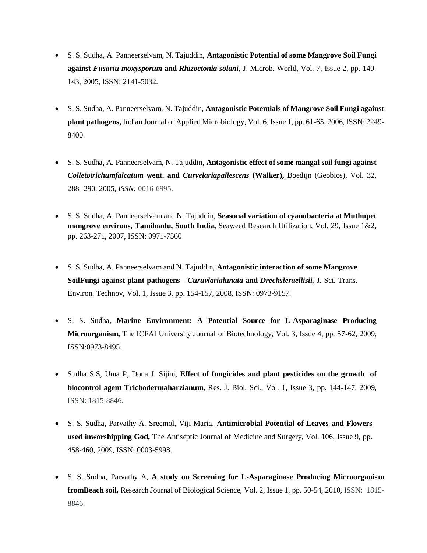- S. S. Sudha, A. Panneerselvam, N. Tajuddin, **Antagonistic Potential of some Mangrove Soil Fungi against** *Fusariu moxysporum* **and** *Rhizoctonia solani,* J. Microb. World, Vol. 7, Issue 2, pp. 140- 143, 2005, ISSN: 2141-5032.
- S. S. Sudha, A. Panneerselvam, N. Tajuddin, **Antagonistic Potentials of Mangrove Soil Fungi against plant pathogens,** Indian Journal of Applied Microbiology, Vol. 6, Issue 1, pp. 61-65, 2006, ISSN: 2249- 8400.
- S. S. Sudha, A. Panneerselvam, N. Tajuddin, **Antagonistic effect of some mangal soil fungi against** *Colletotrichumfalcatum* **went. and** *Curvelariapallescens* **(Walker),** Boedijn (Geobios), Vol. 32, 288- 290, 2005, *ISSN:* 0016-6995.
- S. S. Sudha, A. Panneerselvam and N. Tajuddin, **Seasonal variation of cyanobacteria at Muthupet mangrove environs, Tamilnadu, South India,** Seaweed Research Utilization, Vol. 29, Issue 1&2, pp. 263-271, 2007, ISSN: 0971-7560
- S. S. Sudha, A. Panneerselvam and N. Tajuddin, **Antagonistic interaction of some Mangrove SoilFungi against plant pathogens -** *Curuvlarialunata* **and** *Drechsleraellisii,* J. Sci. Trans. Environ. Technov, Vol. 1, Issue 3, pp. 154-157, 2008, ISSN: 0973-9157.
- S. S. Sudha, **Marine Environment: A Potential Source for L-Asparaginase Producing Microorganism,** The ICFAI University Journal of Biotechnology, Vol. 3, Issue 4, pp. 57-62, 2009, ISSN:0973-8495.
- Sudha S.S, Uma P, Dona J. Sijini, **Effect of fungicides and plant pesticides on the growth of biocontrol agent Trichodermaharzianum,** Res. J. Biol. Sci., Vol. 1, Issue 3, pp. 144-147, 2009, ISSN: 1815-8846.
- S. S. Sudha, Parvathy A, Sreemol, Viji Maria, **Antimicrobial Potential of Leaves and Flowers used inworshipping God,** The Antiseptic Journal of Medicine and Surgery, Vol. 106, Issue 9, pp. 458-460, 2009, ISSN: 0003-5998.
- S. S. Sudha, Parvathy A, **A study on Screening for L-Asparaginase Producing Microorganism fromBeach soil,** Research Journal of Biological Science, Vol. 2, Issue 1, pp. 50-54, 2010, ISSN: 1815- 8846.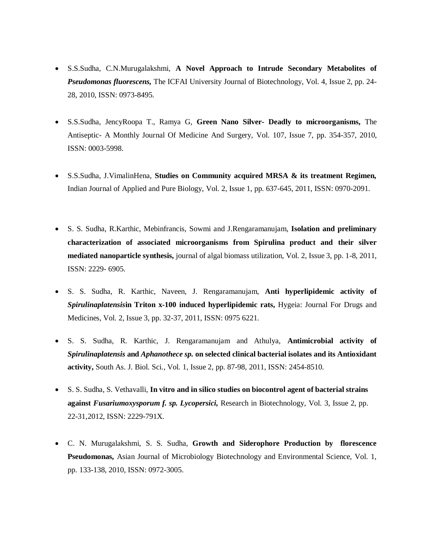- S.S.Sudha, C.N.Murugalakshmi, **A Novel Approach to Intrude Secondary Metabolites of** *Pseudomonas fluorescens,* The ICFAI University Journal of Biotechnology, Vol. 4, Issue 2, pp. 24- 28, 2010, ISSN: 0973-8495.
- S.S.Sudha, JencyRoopa T., Ramya G, **Green Nano Silver- Deadly to microorganisms,** The Antiseptic- A Monthly Journal Of Medicine And Surgery, Vol. 107, Issue 7, pp. 354-357, 2010, ISSN: 0003-5998.
- S.S.Sudha, J.VimalinHena, **Studies on Community acquired MRSA & its treatment Regimen,**  Indian Journal of Applied and Pure Biology, Vol. 2, Issue 1, pp. 637-645, 2011, ISSN: 0970-2091.
- S. S. Sudha, R.Karthic, Mebinfrancis, Sowmi and J.Rengaramanujam, **Isolation and preliminary characterization of associated microorganisms from Spirulina product and their silver mediated nanoparticle synthesis,** journal of algal biomass utilization, Vol. 2, Issue 3, pp. 1-8, 2011, ISSN: 2229- 6905.
- S. S. Sudha, R. Karthic, Naveen, J. Rengaramanujam, **Anti hyperlipidemic activity of** *Spirulinaplatensis***in Triton x-100 induced hyperlipidemic rats,** Hygeia: Journal For Drugs and Medicines, Vol. 2, Issue 3, pp. 32-37, 2011, ISSN: 0975 6221.
- S. S. Sudha, R. Karthic, J. Rengaramanujam and Athulya, **Antimicrobial activity of**  *Spirulinaplatensis* **and** *Aphanothece sp.* **on selected clinical bacterial isolates and its Antioxidant activity,** South As. J. Biol. Sci*.,* Vol*.* 1, Issue 2, pp. 87-98, 2011, ISSN: 2454-8510.
- S. S. Sudha, S. Vethavalli, **In vitro and in silico studies on biocontrol agent of bacterial strains against** *Fusariumoxysporum f. sp. Lycopersici,* Research in Biotechnology, Vol. 3, Issue 2, pp. 22-31,2012, ISSN: 2229-791X.
- C. N. Murugalakshmi, S. S. Sudha, **Growth and Siderophore Production by florescence Pseudomonas,** Asian Journal of Microbiology Biotechnology and Environmental Science, Vol. 1, pp. 133-138, 2010, ISSN: 0972-3005.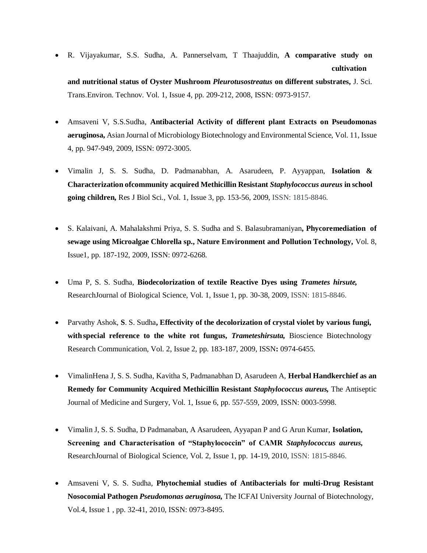R. Vijayakumar, S.S. Sudha, A. Pannerselvam, T Thaajuddin, **A comparative study on cultivation**

**and nutritional status of Oyster Mushroom** *Pleurotusostreatus* **on different substrates,** J. Sci. Trans.Environ. Technov. Vol. 1, Issue 4, pp. 209-212, 2008, ISSN: 0973-9157.

- Amsaveni V, S.S.Sudha, **Antibacterial Activity of different plant Extracts on Pseudomonas aeruginosa,** Asian Journal of Microbiology Biotechnology and Environmental Science, Vol. 11, Issue 4, pp. 947-949, 2009, ISSN: 0972-3005.
- Vimalin J, S. S. Sudha, D. Padmanabhan, A. Asarudeen, P. Ayyappan, **Isolation & Characterization ofcommunity acquired Methicillin Resistant** *Staphylococcus aureus* **in school going children,** Res J Biol Sci., Vol. 1, Issue 3, pp. 153-56, 2009, ISSN: 1815-8846.
- S. Kalaivani, A. Mahalakshmi Priya, S. S. Sudha and S. Balasubramaniyan**, Phycoremediation of sewage using Microalgae Chlorella sp., Nature Environment and Pollution Technology,** Vol. 8, Issue1, pp. 187-192, 2009, ISSN: 0972-6268.
- Uma P, S. S. Sudha, **Biodecolorization of textile Reactive Dyes using** *Trametes hirsute,*  ResearchJournal of Biological Science, Vol. 1, Issue 1, pp. 30-38, 2009, ISSN: 1815-8846.
- Parvathy Ashok, **S**. S. Sudha**, Effectivity of the decolorization of crystal violet by various fungi,**  with special reference to the white rot fungus, *Trameteshirsuta*, Bioscience Biotechnology Research Communication, Vol. 2, Issue 2, pp. 183-187, 2009, ISSN**:** 0974-6455.
- VimalinHena J, S. S. Sudha, Kavitha S, Padmanabhan D, Asarudeen A, **Herbal Handkerchief as an Remedy for Community Acquired Methicillin Resistant** *Staphylococcus aureus,* The Antiseptic Journal of Medicine and Surgery, Vol. 1, Issue 6, pp. 557-559, 2009, ISSN: 0003-5998.
- Vimalin J, S. S. Sudha, D Padmanaban, A Asarudeen, Ayyapan P and G Arun Kumar, **Isolation, Screening and Characterisation of "Staphylococcin" of CAMR** *Staphylococcus aureus,*  ResearchJournal of Biological Science, Vol. 2, Issue 1, pp. 14-19, 2010, ISSN: 1815-8846.
- Amsaveni V, S. S. Sudha, **Phytochemial studies of Antibacterials for multi-Drug Resistant Nosocomial Pathogen** *Pseudomonas aeruginosa,* The ICFAI University Journal of Biotechnology, Vol.4, Issue 1 , pp. 32-41, 2010, ISSN: 0973-8495.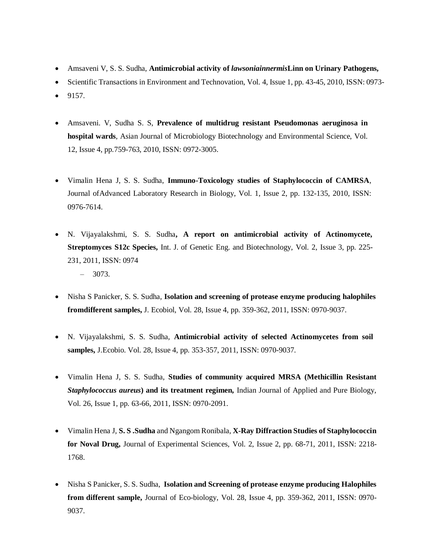- Amsaveni V, S. S. Sudha, **Antimicrobial activity of** *lawsoniainnermis***Linn on Urinary Pathogens,**
- Scientific Transactions in Environment and Technovation, Vol. 4, Issue 1, pp. 43-45, 2010, ISSN: 0973-
- 9157.
- Amsaveni. V, Sudha S. S, **Prevalence of multidrug resistant Pseudomonas aeruginosa in hospital wards**, Asian Journal of Microbiology Biotechnology and Environmental Science, Vol. 12, Issue 4, pp.759-763, 2010, ISSN: 0972-3005.
- Vimalin Hena J, S. S. Sudha, **Immuno-Toxicology studies of Staphylococcin of CAMRSA**, Journal ofAdvanced Laboratory Research in Biology, Vol. 1, Issue 2, pp. 132-135, 2010, ISSN: 0976-7614.
- N. Vijayalakshmi, S. S. Sudha**, A report on antimicrobial activity of Actinomycete, Streptomyces S12c Species,** Int. J. of Genetic Eng. and Biotechnology, Vol. 2, Issue 3, pp. 225- 231, 2011, ISSN: 0974 – 3073.
- Nisha S Panicker, S. S. Sudha, **Isolation and screening of protease enzyme producing halophiles fromdifferent samples,** J. Ecobiol, Vol. 28, Issue 4, pp. 359-362, 2011, ISSN: 0970-9037.
- N. Vijayalakshmi, S. S. Sudha, **Antimicrobial activity of selected Actinomycetes from soil samples,** J.Ecobio. Vol. 28, Issue 4, pp. 353-357, 2011, ISSN: 0970-9037.
- Vimalin Hena J, S. S. Sudha, **Studies of community acquired MRSA (Methicillin Resistant** *Staphylococcus aureus***) and its treatment regimen,** Indian Journal of Applied and Pure Biology, Vol. 26, Issue 1, pp. 63-66, 2011, ISSN: 0970-2091.
- Vimalin Hena J, **S. S .Sudha** and Ngangom Ronibala, **X-Ray Diffraction Studies of Staphylococcin for Noval Drug,** Journal of Experimental Sciences, Vol. 2, Issue 2, pp. 68-71, 2011, ISSN: 2218- 1768.
- Nisha S Panicker, S. S. Sudha, **Isolation and Screening of protease enzyme producing Halophiles from different sample,** Journal of Eco-biology, Vol. 28, Issue 4, pp. 359-362, 2011, ISSN: 0970- 9037.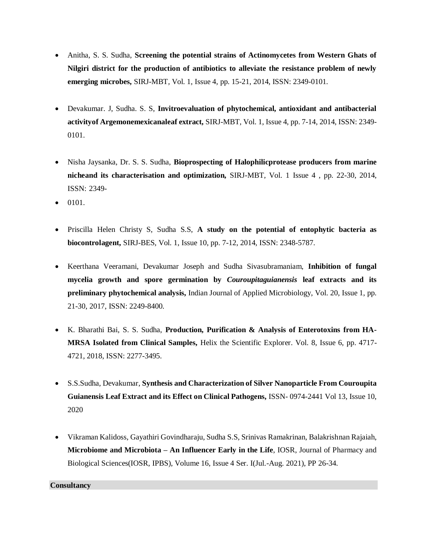- Anitha, S. S. Sudha, **Screening the potential strains of Actinomycetes from Western Ghats of Nilgiri district for the production of antibiotics to alleviate the resistance problem of newly emerging microbes,** SIRJ-MBT*,* Vol. 1, Issue 4, pp. 15-21, 2014, ISSN: 2349-0101.
- Devakumar. J, Sudha. S. S, **Invitroevaluation of phytochemical, antioxidant and antibacterial activityof Argemonemexicanaleaf extract,** SIRJ-MBT*,* Vol. 1, Issue 4, pp. 7-14, 2014, ISSN: 2349- 0101.
- Nisha Jaysanka, Dr. S. S. Sudha, **Bioprospecting of Halophilicprotease producers from marine nicheand its characterisation and optimization,** SIRJ-MBT*,* Vol. 1 Issue 4 , pp. 22-30, 2014, ISSN: 2349-
- 0101.
- Priscilla Helen Christy S, Sudha S.S, **A study on the potential of entophytic bacteria as biocontrolagent,** SIRJ-BES, Vol. 1, Issue 10, pp. 7-12, 2014, ISSN: 2348-5787.
- Keerthana Veeramani, Devakumar Joseph and Sudha Sivasubramaniam, **Inhibition of fungal mycelia growth and spore germination by** *Couroupitaguianensis* **leaf extracts and its preliminary phytochemical analysis,** Indian Journal of Applied Microbiology, Vol. 20, Issue 1, pp. 21-30, 2017, ISSN: 2249-8400.
- K. Bharathi Bai, S. S. Sudha, **Production, Purification & Analysis of Enterotoxins from HA-MRSA Isolated from Clinical Samples,** Helix the Scientific Explorer. Vol. 8, Issue 6, pp. 4717- 4721, 2018, ISSN: 2277-3495.
- S.S.Sudha, Devakumar, **Synthesis and Characterization of Silver Nanoparticle From Couroupita Guianensis Leaf Extract and its Effect on Clinical Pathogens,** ISSN- 0974-2441 Vol 13, Issue 10, 2020
- Vikraman Kalidoss, Gayathiri Govindharaju, Sudha S.S, Srinivas Ramakrinan, Balakrishnan Rajaiah, **Microbiome and Microbiota – An Influencer Early in the Life**, IOSR, Journal of Pharmacy and Biological Sciences(IOSR, IPBS), Volume 16, Issue 4 Ser. I(Jul.-Aug. 2021), PP 26-34.

**Consultancy**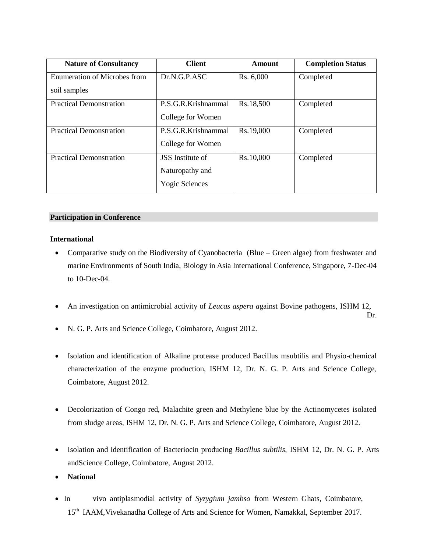| <b>Nature of Consultancy</b>        | <b>Client</b>           | Amount    | <b>Completion Status</b> |
|-------------------------------------|-------------------------|-----------|--------------------------|
| <b>Enumeration of Microbes from</b> | Dr.N.G.P.ASC            | Rs. 6,000 | Completed                |
| soil samples                        |                         |           |                          |
| <b>Practical Demonstration</b>      | P.S.G.R.Krishnammal     | Rs.18,500 | Completed                |
|                                     | College for Women       |           |                          |
| <b>Practical Demonstration</b>      | P.S.G.R.Krishnammal     | Rs.19,000 | Completed                |
|                                     | College for Women       |           |                          |
| <b>Practical Demonstration</b>      | <b>JSS</b> Institute of | Rs.10,000 | Completed                |
|                                     | Naturopathy and         |           |                          |
|                                     | <b>Yogic Sciences</b>   |           |                          |

#### **Participation in Conference**

#### **International**

- Comparative study on the Biodiversity of Cyanobacteria (Blue Green algae) from freshwater and marine Environments of South India, Biology in Asia International Conference, Singapore, 7-Dec-04 to 10-Dec-04.
- An investigation on antimicrobial activity of *Leucas aspera a*gainst Bovine pathogens, ISHM 12,

Dr.

- N. G. P. Arts and Science College, Coimbatore, August 2012.
- Isolation and identification of Alkaline protease produced Bacillus msubtilis and Physio-chemical characterization of the enzyme production, ISHM 12, Dr. N. G. P. Arts and Science College, Coimbatore, August 2012.
- Decolorization of Congo red, Malachite green and Methylene blue by the Actinomycetes isolated from sludge areas, ISHM 12, Dr. N. G. P. Arts and Science College, Coimbatore, August 2012.
- Isolation and identification of Bacteriocin producing *Bacillus subtilis,* ISHM 12, Dr. N. G. P. Arts andScience College, Coimbatore, August 2012.
- **National**
- In vivo antiplasmodial activity of *Syzygium jambso* from Western Ghats, Coimbatore, 15<sup>th</sup> IAAM, Vivekanadha College of Arts and Science for Women, Namakkal, September 2017.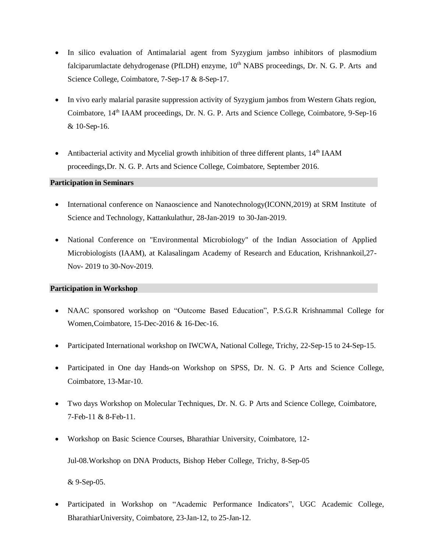- In silico evaluation of Antimalarial agent from Syzygium jambso inhibitors of plasmodium falciparumlactate dehydrogenase (PfLDH) enzyme, 10<sup>th</sup> NABS proceedings, Dr. N. G. P. Arts and Science College, Coimbatore, 7-Sep-17 & 8-Sep-17.
- In vivo early malarial parasite suppression activity of Syzygium jambos from Western Ghats region, Coimbatore, 14<sup>th</sup> IAAM proceedings, Dr. N. G. P. Arts and Science College, Coimbatore, 9-Sep-16 & 10-Sep-16.
- Antibacterial activity and Mycelial growth inhibition of three different plants,  $14<sup>th</sup> IAAM$ proceedings,Dr. N. G. P. Arts and Science College, Coimbatore, September 2016.

#### **Participation in Seminars**

- International conference on Nanaoscience and Nanotechnology(ICONN,2019) at SRM Institute of Science and Technology, Kattankulathur, 28-Jan-2019 to 30-Jan-2019.
- National Conference on "Environmental Microbiology" of the Indian Association of Applied Microbiologists (IAAM), at Kalasalingam Academy of Research and Education, Krishnankoil,27- Nov- 2019 to 30-Nov-2019.

#### **Participation in Workshop**

- NAAC sponsored workshop on "Outcome Based Education", P.S.G.R Krishnammal College for Women,Coimbatore, 15-Dec-2016 & 16-Dec-16.
- Participated International workshop on IWCWA, National College, Trichy, 22-Sep-15 to 24-Sep-15.
- Participated in One day Hands-on Workshop on SPSS, Dr. N. G. P Arts and Science College, Coimbatore, 13-Mar-10.
- Two days Workshop on Molecular Techniques, Dr. N. G. P Arts and Science College, Coimbatore, 7-Feb-11 & 8-Feb-11.
- Workshop on Basic Science Courses, Bharathiar University, Coimbatore, 12- Jul-08.Workshop on DNA Products, Bishop Heber College, Trichy, 8-Sep-05

& 9-Sep-05.

 Participated in Workshop on "Academic Performance Indicators", UGC Academic College, BharathiarUniversity, Coimbatore, 23-Jan-12, to 25-Jan-12.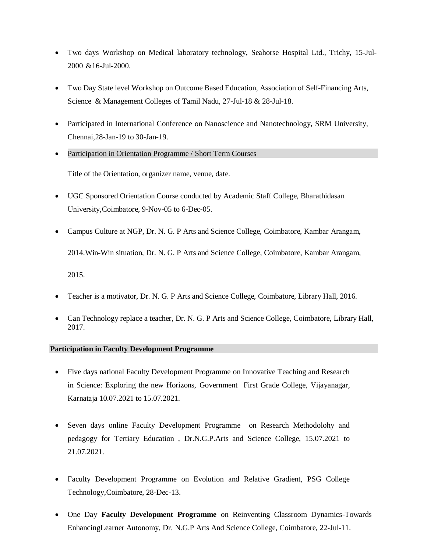- Two days Workshop on Medical laboratory technology, Seahorse Hospital Ltd., Trichy, 15-Jul-2000 &16-Jul-2000.
- Two Day State level Workshop on Outcome Based Education, Association of Self-Financing Arts, Science & Management Colleges of Tamil Nadu, 27-Jul-18 & 28-Jul-18.
- Participated in International Conference on Nanoscience and Nanotechnology, SRM University, Chennai,28-Jan-19 to 30-Jan-19.
- Participation in Orientation Programme / Short Term Courses

Title of the Orientation, organizer name, venue, date.

- UGC Sponsored Orientation Course conducted by Academic Staff College, Bharathidasan University,Coimbatore, 9-Nov-05 to 6-Dec-05.
- Campus Culture at NGP, Dr. N. G. P Arts and Science College, Coimbatore, Kambar Arangam,

2014.Win-Win situation, Dr. N. G. P Arts and Science College, Coimbatore, Kambar Arangam,

2015.

- Teacher is a motivator, Dr. N. G. P Arts and Science College, Coimbatore, Library Hall, 2016.
- Can Technology replace a teacher, Dr. N. G. P Arts and Science College, Coimbatore, Library Hall, 2017.

#### **Participation in Faculty Development Programme**

- Five days national Faculty Development Programme on Innovative Teaching and Research in Science: Exploring the new Horizons, Government First Grade College, Vijayanagar, Karnataja 10.07.2021 to 15.07.2021.
- Seven days online Faculty Development Programme on Research Methodolohy and pedagogy for Tertiary Education , Dr.N.G.P.Arts and Science College, 15.07.2021 to 21.07.2021.
- Faculty Development Programme on Evolution and Relative Gradient, PSG College Technology,Coimbatore, 28-Dec-13.
- One Day **Faculty Development Programme** on Reinventing Classroom Dynamics-Towards EnhancingLearner Autonomy, Dr. N.G.P Arts And Science College, Coimbatore, 22-Jul-11.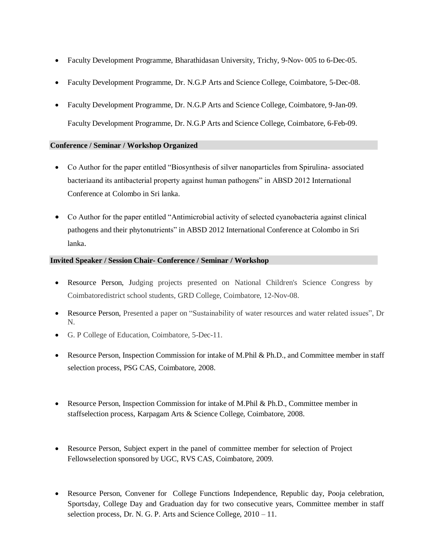- Faculty Development Programme, Bharathidasan University, Trichy, 9-Nov- 005 to 6-Dec-05.
- Faculty Development Programme, Dr. N.G.P Arts and Science College, Coimbatore, 5-Dec-08.
- Faculty Development Programme, Dr. N.G.P Arts and Science College, Coimbatore, 9-Jan-09. Faculty Development Programme, Dr. N.G.P Arts and Science College, Coimbatore, 6-Feb-09.

## **Conference / Seminar / Workshop Organized**

- Co Author for the paper entitled "Biosynthesis of silver nanoparticles from Spirulina- associated bacteriaand its antibacterial property against human pathogens" in ABSD 2012 International Conference at Colombo in Sri lanka.
- Co Author for the paper entitled "Antimicrobial activity of selected cyanobacteria against clinical pathogens and their phytonutrients" in ABSD 2012 International Conference at Colombo in Sri lanka.

## **Invited Speaker / Session Chair- Conference / Seminar / Workshop**

- Resource Person, Judging projects presented on National Children's Science Congress by Coimbatoredistrict school students, GRD College, Coimbatore, 12-Nov-08.
- Resource Person, Presented a paper on "Sustainability of water resources and water related issues", Dr N.
- G. P College of Education, Coimbatore, 5-Dec-11.
- Resource Person, Inspection Commission for intake of M.Phil & Ph.D., and Committee member in staff selection process, PSG CAS, Coimbatore, 2008.
- Resource Person, Inspection Commission for intake of M.Phil & Ph.D., Committee member in staffselection process, Karpagam Arts & Science College, Coimbatore, 2008.
- Resource Person, Subject expert in the panel of committee member for selection of Project Fellowselection sponsored by UGC, RVS CAS, Coimbatore, 2009.
- Resource Person, Convener for College Functions Independence, Republic day, Pooja celebration, Sportsday, College Day and Graduation day for two consecutive years, Committee member in staff selection process, Dr. N. G. P. Arts and Science College, 2010 – 11.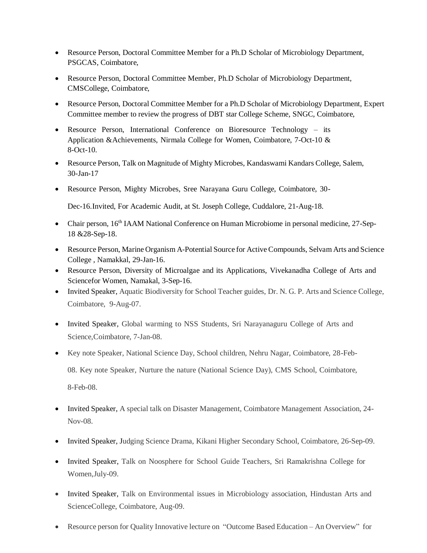- Resource Person, Doctoral Committee Member for a Ph.D Scholar of Microbiology Department, PSGCAS, Coimbatore,
- Resource Person, Doctoral Committee Member, Ph.D Scholar of Microbiology Department, CMSCollege, Coimbatore,
- Resource Person, Doctoral Committee Member for a Ph.D Scholar of Microbiology Department, Expert Committee member to review the progress of DBT star College Scheme, SNGC, Coimbatore,
- Resource Person, International Conference on Bioresource Technology its Application &Achievements, Nirmala College for Women, Coimbatore, 7-Oct-10 & 8-Oct-10.
- Resource Person, Talk on Magnitude of Mighty Microbes, Kandaswami Kandars College, Salem, 30-Jan-17
- Resource Person, Mighty Microbes, Sree Narayana Guru College, Coimbatore, 30-

Dec-16.Invited, For Academic Audit, at St. Joseph College, Cuddalore, 21-Aug-18.

- Chair person, 16<sup>th</sup> IAAM National Conference on Human Microbiome in personal medicine, 27-Sep-18 &28-Sep-18.
- Resource Person, Marine Organism A-Potential Source for Active Compounds, Selvam Arts and Science College , Namakkal, 29-Jan-16.
- Resource Person, Diversity of Microalgae and its Applications, Vivekanadha College of Arts and Sciencefor Women, Namakal, 3-Sep-16.
- Invited Speaker, Aquatic Biodiversity for School Teacher guides, Dr. N. G. P. Arts and Science College, Coimbatore, 9-Aug-07.
- Invited Speaker, Global warming to NSS Students, Sri Narayanaguru College of Arts and Science,Coimbatore, 7-Jan-08.
- Key note Speaker, National Science Day, School children, Nehru Nagar, Coimbatore, 28-Feb-08. Key note Speaker, Nurture the nature (National Science Day), CMS School, Coimbatore, 8-Feb-08.
- Invited Speaker, A special talk on Disaster Management, Coimbatore Management Association, 24- Nov-08.
- Invited Speaker, Judging Science Drama, Kikani Higher Secondary School, Coimbatore, 26-Sep-09.
- Invited Speaker, Talk on Noosphere for School Guide Teachers, Sri Ramakrishna College for Women,July-09.
- Invited Speaker, Talk on Environmental issues in Microbiology association, Hindustan Arts and ScienceCollege, Coimbatore, Aug-09.
- Resource person for Quality Innovative lecture on "Outcome Based Education An Overview" for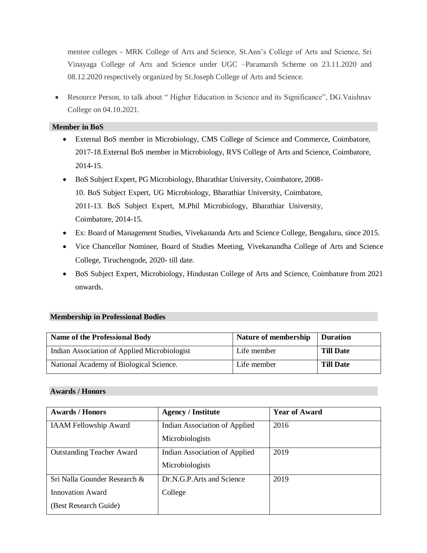mentee colleges - MRK College of Arts and Science, St.Ann's College of Arts and Science, Sri Vinayaga College of Arts and Science under UGC –Paramarsh Scheme on 23.11.2020 and 08.12.2020 respectively organized by St.Joseph College of Arts and Science.

 Resource Person, to talk about " Higher Education in Science and its Significance", DG.Vaishnav College on 04.10.2021.

## **Member in BoS**

- External BoS member in Microbiology, CMS College of Science and Commerce, Coimbatore, 2017-18.External BoS member in Microbiology, RVS College of Arts and Science, Coimbatore, 2014-15.
- BoS Subject Expert, PG Microbiology, Bharathiar University, Coimbatore, 2008- 10. BoS Subject Expert, UG Microbiology, Bharathiar University, Coimbatore, 2011-13. BoS Subject Expert, M.Phil Microbiology, Bharathiar University, Coimbatore, 2014-15.
- Ex: Board of Management Studies, Vivekananda Arts and Science College, Bengaluru, since 2015.
- Vice Chancellor Nominee, Board of Studies Meeting, Vivekanandha College of Arts and Science College, Tiruchengode, 2020- till date.
- BoS Subject Expert, Microbiology, Hindustan College of Arts and Science, Coimbatore from 2021 onwards.

#### **Membership in Professional Bodies**

| <b>Name of the Professional Body</b>         | Nature of membership | <b>Duration</b>  |
|----------------------------------------------|----------------------|------------------|
| Indian Association of Applied Microbiologist | Life member          | <b>Till Date</b> |
| National Academy of Biological Science.      | Life member          | <b>Till Date</b> |

## **Awards / Honors**

| <b>Awards / Honors</b>           | <b>Agency / Institute</b>     | <b>Year of Award</b> |
|----------------------------------|-------------------------------|----------------------|
| <b>IAAM Fellowship Award</b>     | Indian Association of Applied | 2016                 |
|                                  | Microbiologists               |                      |
| <b>Outstanding Teacher Award</b> | Indian Association of Applied | 2019                 |
|                                  | Microbiologists               |                      |
| Sri Nalla Gounder Research &     | Dr.N.G.P. Arts and Science    | 2019                 |
| <b>Innovation Award</b>          | College                       |                      |
| (Best Research Guide)            |                               |                      |